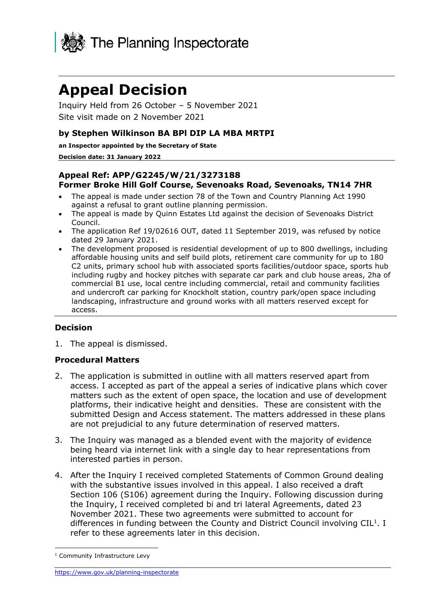

# **Appeal Decision**

Inquiry Held from 26 October – 5 November 2021 Site visit made on 2 November 2021

## **by Stephen Wilkinson BA BPl DIP LA MBA MRTPI**

**an Inspector appointed by the Secretary of State**

#### **Decision date: 31 January 2022**

## **Appeal Ref: APP/G2245/W/21/3273188 Former Broke Hill Golf Course, Sevenoaks Road, Sevenoaks, TN14 7HR**

- The appeal is made under section 78 of the Town and Country Planning Act 1990 against a refusal to grant outline planning permission.
- The appeal is made by Quinn Estates Ltd against the decision of Sevenoaks District Council.
- The application Ref 19/02616 OUT, dated 11 September 2019, was refused by notice dated 29 January 2021.
- The development proposed is residential development of up to 800 dwellings, including affordable housing units and self build plots, retirement care community for up to 180 C2 units, primary school hub with associated sports facilities/outdoor space, sports hub including rugby and hockey pitches with separate car park and club house areas, 2ha of commercial B1 use, local centre including commercial, retail and community facilities and undercroft car parking for Knockholt station, country park/open space including landscaping, infrastructure and ground works with all matters reserved except for access.

## **Decision**

1. The appeal is dismissed.

## **Procedural Matters**

- 2. The application is submitted in outline with all matters reserved apart from access. I accepted as part of the appeal a series of indicative plans which cover matters such as the extent of open space, the location and use of development platforms, their indicative height and densities. These are consistent with the submitted Design and Access statement. The matters addressed in these plans are not prejudicial to any future determination of reserved matters.
- 3. The Inquiry was managed as a blended event with the majority of evidence being heard via internet link with a single day to hear representations from interested parties in person.
- 4. After the Inquiry I received completed Statements of Common Ground dealing with the substantive issues involved in this appeal. I also received a draft Section 106 (S106) agreement during the Inquiry. Following discussion during the Inquiry, I received completed bi and tri lateral Agreements, dated 23 November 2021. These two agreements were submitted to account for differences in funding between the County and District Council involving  $CIL<sup>1</sup>$ . I refer to these agreements later in this decision.

<sup>&</sup>lt;sup>1</sup> Community Infrastructure Levy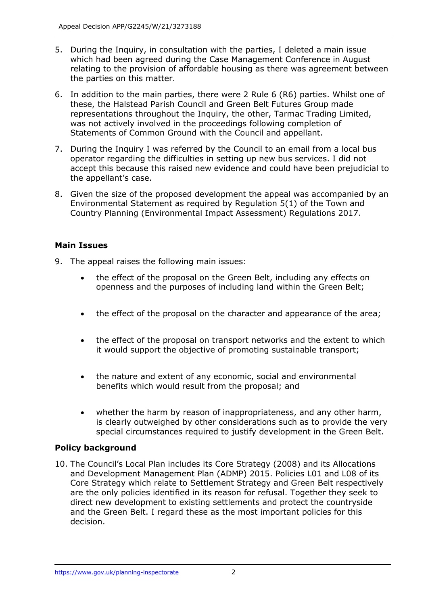- 5. During the Inquiry, in consultation with the parties, I deleted a main issue which had been agreed during the Case Management Conference in August relating to the provision of affordable housing as there was agreement between the parties on this matter.
- 6. In addition to the main parties, there were 2 Rule 6 (R6) parties. Whilst one of these, the Halstead Parish Council and Green Belt Futures Group made representations throughout the Inquiry, the other, Tarmac Trading Limited, was not actively involved in the proceedings following completion of Statements of Common Ground with the Council and appellant.
- 7. During the Inquiry I was referred by the Council to an email from a local bus operator regarding the difficulties in setting up new bus services. I did not accept this because this raised new evidence and could have been prejudicial to the appellant's case.
- 8. Given the size of the proposed development the appeal was accompanied by an Environmental Statement as required by Regulation 5(1) of the Town and Country Planning (Environmental Impact Assessment) Regulations 2017.

# **Main Issues**

- 9. The appeal raises the following main issues:
	- the effect of the proposal on the Green Belt, including any effects on openness and the purposes of including land within the Green Belt;
	- the effect of the proposal on the character and appearance of the area;
	- the effect of the proposal on transport networks and the extent to which it would support the objective of promoting sustainable transport;
	- the nature and extent of any economic, social and environmental benefits which would result from the proposal; and
	- whether the harm by reason of inappropriateness, and any other harm, is clearly outweighed by other considerations such as to provide the very special circumstances required to justify development in the Green Belt.

# **Policy background**

10. The Council's Local Plan includes its Core Strategy (2008) and its Allocations and Development Management Plan (ADMP) 2015. Policies L01 and L08 of its Core Strategy which relate to Settlement Strategy and Green Belt respectively are the only policies identified in its reason for refusal. Together they seek to direct new development to existing settlements and protect the countryside and the Green Belt. I regard these as the most important policies for this decision.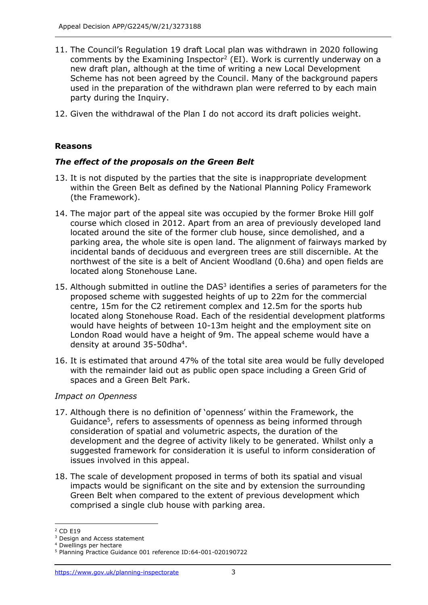- 11. The Council's Regulation 19 draft Local plan was withdrawn in 2020 following comments by the Examining Inspector<sup>2</sup> (EI). Work is currently underway on a new draft plan, although at the time of writing a new Local Development Scheme has not been agreed by the Council. Many of the background papers used in the preparation of the withdrawn plan were referred to by each main party during the Inquiry.
- 12. Given the withdrawal of the Plan I do not accord its draft policies weight.

## **Reasons**

## *The effect of the proposals on the Green Belt*

- 13. It is not disputed by the parties that the site is inappropriate development within the Green Belt as defined by the National Planning Policy Framework (the Framework).
- 14. The major part of the appeal site was occupied by the former Broke Hill golf course which closed in 2012. Apart from an area of previously developed land located around the site of the former club house, since demolished, and a parking area, the whole site is open land. The alignment of fairways marked by incidental bands of deciduous and evergreen trees are still discernible. At the northwest of the site is a belt of Ancient Woodland (0.6ha) and open fields are located along Stonehouse Lane.
- 15. Although submitted in outline the  $DAS<sup>3</sup>$  identifies a series of parameters for the proposed scheme with suggested heights of up to 22m for the commercial centre, 15m for the C2 retirement complex and 12.5m for the sports hub located along Stonehouse Road. Each of the residential development platforms would have heights of between 10-13m height and the employment site on London Road would have a height of 9m. The appeal scheme would have a density at around 35-50dha<sup>4</sup>.
- 16. It is estimated that around 47% of the total site area would be fully developed with the remainder laid out as public open space including a Green Grid of spaces and a Green Belt Park.

## *Impact on Openness*

- 17. Although there is no definition of 'openness' within the Framework, the Guidance<sup>5</sup>, refers to assessments of openness as being informed through consideration of spatial and volumetric aspects, the duration of the development and the degree of activity likely to be generated. Whilst only a suggested framework for consideration it is useful to inform consideration of issues involved in this appeal.
- 18. The scale of development proposed in terms of both its spatial and visual impacts would be significant on the site and by extension the surrounding Green Belt when compared to the extent of previous development which comprised a single club house with parking area.
- <sup>2</sup> CD E19

<sup>&</sup>lt;sup>3</sup> Design and Access statement

<sup>4</sup> Dwellings per hectare

<sup>5</sup> Planning Practice Guidance 001 reference ID:64-001-020190722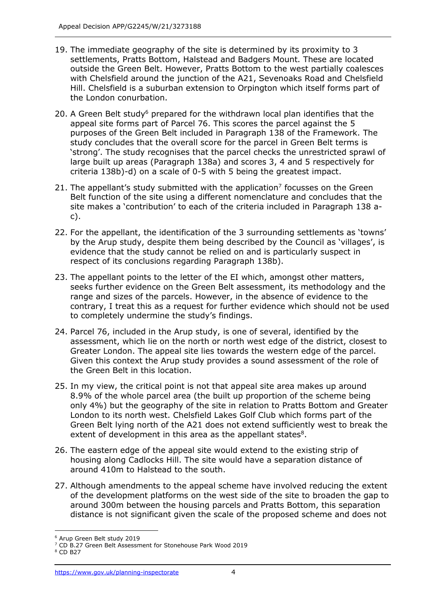- 19. The immediate geography of the site is determined by its proximity to 3 settlements, Pratts Bottom, Halstead and Badgers Mount. These are located outside the Green Belt. However, Pratts Bottom to the west partially coalesces with Chelsfield around the junction of the A21, Sevenoaks Road and Chelsfield Hill. Chelsfield is a suburban extension to Orpington which itself forms part of the London conurbation.
- 20. A Green Belt study $6$  prepared for the withdrawn local plan identifies that the appeal site forms part of Parcel 76. This scores the parcel against the 5 purposes of the Green Belt included in Paragraph 138 of the Framework. The study concludes that the overall score for the parcel in Green Belt terms is 'strong'. The study recognises that the parcel checks the unrestricted sprawl of large built up areas (Paragraph 138a) and scores 3, 4 and 5 respectively for criteria 138b)-d) on a scale of 0-5 with 5 being the greatest impact.
- 21. The appellant's study submitted with the application<sup>7</sup> focusses on the Green Belt function of the site using a different nomenclature and concludes that the site makes a 'contribution' to each of the criteria included in Paragraph 138 ac).
- 22. For the appellant, the identification of the 3 surrounding settlements as 'towns' by the Arup study, despite them being described by the Council as 'villages', is evidence that the study cannot be relied on and is particularly suspect in respect of its conclusions regarding Paragraph 138b).
- 23. The appellant points to the letter of the EI which, amongst other matters, seeks further evidence on the Green Belt assessment, its methodology and the range and sizes of the parcels. However, in the absence of evidence to the contrary, I treat this as a request for further evidence which should not be used to completely undermine the study's findings.
- 24. Parcel 76, included in the Arup study, is one of several, identified by the assessment, which lie on the north or north west edge of the district, closest to Greater London. The appeal site lies towards the western edge of the parcel. Given this context the Arup study provides a sound assessment of the role of the Green Belt in this location.
- 25. In my view, the critical point is not that appeal site area makes up around 8.9% of the whole parcel area (the built up proportion of the scheme being only 4%) but the geography of the site in relation to Pratts Bottom and Greater London to its north west. Chelsfield Lakes Golf Club which forms part of the Green Belt lying north of the A21 does not extend sufficiently west to break the extent of development in this area as the appellant states<sup>8</sup>.
- 26. The eastern edge of the appeal site would extend to the existing strip of housing along Cadlocks Hill. The site would have a separation distance of around 410m to Halstead to the south.
- 27. Although amendments to the appeal scheme have involved reducing the extent of the development platforms on the west side of the site to broaden the gap to around 300m between the housing parcels and Pratts Bottom, this separation distance is not significant given the scale of the proposed scheme and does not

<sup>6</sup> Arup Green Belt study 2019

<sup>&</sup>lt;sup>7</sup> CD B.27 Green Belt Assessment for Stonehouse Park Wood 2019

<sup>8</sup> CD B27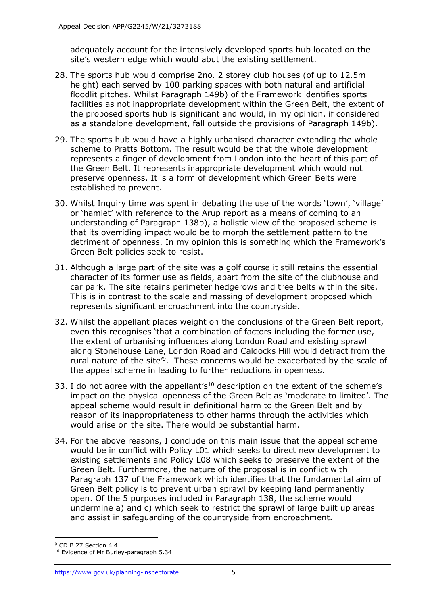adequately account for the intensively developed sports hub located on the site's western edge which would abut the existing settlement.

- 28. The sports hub would comprise 2no. 2 storey club houses (of up to 12.5m height) each served by 100 parking spaces with both natural and artificial floodlit pitches. Whilst Paragraph 149b) of the Framework identifies sports facilities as not inappropriate development within the Green Belt, the extent of the proposed sports hub is significant and would, in my opinion, if considered as a standalone development, fall outside the provisions of Paragraph 149b).
- 29. The sports hub would have a highly urbanised character extending the whole scheme to Pratts Bottom. The result would be that the whole development represents a finger of development from London into the heart of this part of the Green Belt. It represents inappropriate development which would not preserve openness. It is a form of development which Green Belts were established to prevent.
- 30. Whilst Inquiry time was spent in debating the use of the words 'town', 'village' or 'hamlet' with reference to the Arup report as a means of coming to an understanding of Paragraph 138b), a holistic view of the proposed scheme is that its overriding impact would be to morph the settlement pattern to the detriment of openness. In my opinion this is something which the Framework's Green Belt policies seek to resist.
- 31. Although a large part of the site was a golf course it still retains the essential character of its former use as fields, apart from the site of the clubhouse and car park. The site retains perimeter hedgerows and tree belts within the site. This is in contrast to the scale and massing of development proposed which represents significant encroachment into the countryside.
- 32. Whilst the appellant places weight on the conclusions of the Green Belt report, even this recognises 'that a combination of factors including the former use, the extent of urbanising influences along London Road and existing sprawl along Stonehouse Lane, London Road and Caldocks Hill would detract from the rural nature of the site<sup>'9</sup>. These concerns would be exacerbated by the scale of the appeal scheme in leading to further reductions in openness.
- 33. I do not agree with the appellant's<sup>10</sup> description on the extent of the scheme's impact on the physical openness of the Green Belt as 'moderate to limited'. The appeal scheme would result in definitional harm to the Green Belt and by reason of its inappropriateness to other harms through the activities which would arise on the site. There would be substantial harm.
- 34. For the above reasons, I conclude on this main issue that the appeal scheme would be in conflict with Policy L01 which seeks to direct new development to existing settlements and Policy L08 which seeks to preserve the extent of the Green Belt. Furthermore, the nature of the proposal is in conflict with Paragraph 137 of the Framework which identifies that the fundamental aim of Green Belt policy is to prevent urban sprawl by keeping land permanently open. Of the 5 purposes included in Paragraph 138, the scheme would undermine a) and c) which seek to restrict the sprawl of large built up areas and assist in safeguarding of the countryside from encroachment.

<sup>9</sup> CD B.27 Section 4.4

<sup>&</sup>lt;sup>10</sup> Evidence of Mr Burley-paragraph 5.34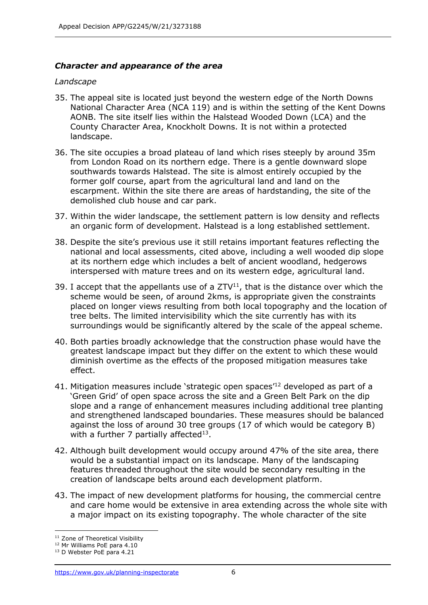## *Character and appearance of the area*

#### *Landscape*

- 35. The appeal site is located just beyond the western edge of the North Downs National Character Area (NCA 119) and is within the setting of the Kent Downs AONB. The site itself lies within the Halstead Wooded Down (LCA) and the County Character Area, Knockholt Downs. It is not within a protected landscape.
- 36. The site occupies a broad plateau of land which rises steeply by around 35m from London Road on its northern edge. There is a gentle downward slope southwards towards Halstead. The site is almost entirely occupied by the former golf course, apart from the agricultural land and land on the escarpment. Within the site there are areas of hardstanding, the site of the demolished club house and car park.
- 37. Within the wider landscape, the settlement pattern is low density and reflects an organic form of development. Halstead is a long established settlement.
- 38. Despite the site's previous use it still retains important features reflecting the national and local assessments, cited above, including a well wooded dip slope at its northern edge which includes a belt of ancient woodland, hedgerows interspersed with mature trees and on its western edge, agricultural land.
- 39. I accept that the appellants use of a  $ZTV<sup>11</sup>$ , that is the distance over which the scheme would be seen, of around 2kms, is appropriate given the constraints placed on longer views resulting from both local topography and the location of tree belts. The limited intervisibility which the site currently has with its surroundings would be significantly altered by the scale of the appeal scheme.
- 40. Both parties broadly acknowledge that the construction phase would have the greatest landscape impact but they differ on the extent to which these would diminish overtime as the effects of the proposed mitigation measures take effect.
- 41. Mitigation measures include 'strategic open spaces<sup>'12</sup> developed as part of a 'Green Grid' of open space across the site and a Green Belt Park on the dip slope and a range of enhancement measures including additional tree planting and strengthened landscaped boundaries. These measures should be balanced against the loss of around 30 tree groups (17 of which would be category B) with a further 7 partially affected $^{13}$ .
- 42. Although built development would occupy around 47% of the site area, there would be a substantial impact on its landscape. Many of the landscaping features threaded throughout the site would be secondary resulting in the creation of landscape belts around each development platform.
- 43. The impact of new development platforms for housing, the commercial centre and care home would be extensive in area extending across the whole site with a major impact on its existing topography. The whole character of the site

<sup>&</sup>lt;sup>11</sup> Zone of Theoretical Visibility

<sup>12</sup> Mr Williams PoE para 4.10

<sup>&</sup>lt;sup>13</sup> D Webster PoE para 4.21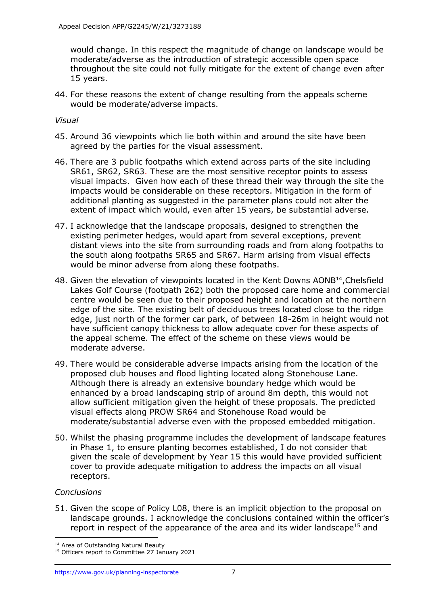would change. In this respect the magnitude of change on landscape would be moderate/adverse as the introduction of strategic accessible open space throughout the site could not fully mitigate for the extent of change even after 15 years.

44. For these reasons the extent of change resulting from the appeals scheme would be moderate/adverse impacts.

*Visual*

- 45. Around 36 viewpoints which lie both within and around the site have been agreed by the parties for the visual assessment.
- 46. There are 3 public footpaths which extend across parts of the site including SR61, SR62, SR63. These are the most sensitive receptor points to assess visual impacts. Given how each of these thread their way through the site the impacts would be considerable on these receptors. Mitigation in the form of additional planting as suggested in the parameter plans could not alter the extent of impact which would, even after 15 years, be substantial adverse.
- 47. I acknowledge that the landscape proposals, designed to strengthen the existing perimeter hedges, would apart from several exceptions, prevent distant views into the site from surrounding roads and from along footpaths to the south along footpaths SR65 and SR67. Harm arising from visual effects would be minor adverse from along these footpaths.
- 48. Given the elevation of viewpoints located in the Kent Downs AONB<sup>14</sup>, Chelsfield Lakes Golf Course (footpath 262) both the proposed care home and commercial centre would be seen due to their proposed height and location at the northern edge of the site. The existing belt of deciduous trees located close to the ridge edge, just north of the former car park, of between 18-26m in height would not have sufficient canopy thickness to allow adequate cover for these aspects of the appeal scheme. The effect of the scheme on these views would be moderate adverse.
- 49. There would be considerable adverse impacts arising from the location of the proposed club houses and flood lighting located along Stonehouse Lane. Although there is already an extensive boundary hedge which would be enhanced by a broad landscaping strip of around 8m depth, this would not allow sufficient mitigation given the height of these proposals. The predicted visual effects along PROW SR64 and Stonehouse Road would be moderate/substantial adverse even with the proposed embedded mitigation.
- 50. Whilst the phasing programme includes the development of landscape features in Phase 1, to ensure planting becomes established, I do not consider that given the scale of development by Year 15 this would have provided sufficient cover to provide adequate mitigation to address the impacts on all visual receptors.

## *Conclusions*

51. Given the scope of Policy L08, there is an implicit objection to the proposal on landscape grounds. I acknowledge the conclusions contained within the officer's report in respect of the appearance of the area and its wider landscape<sup>15</sup> and

<sup>14</sup> Area of Outstanding Natural Beauty

<sup>&</sup>lt;sup>15</sup> Officers report to Committee 27 January 2021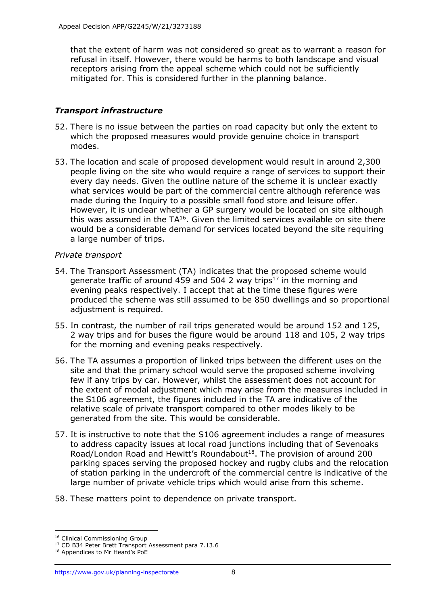that the extent of harm was not considered so great as to warrant a reason for refusal in itself. However, there would be harms to both landscape and visual receptors arising from the appeal scheme which could not be sufficiently mitigated for. This is considered further in the planning balance.

# *Transport infrastructure*

- 52. There is no issue between the parties on road capacity but only the extent to which the proposed measures would provide genuine choice in transport modes.
- 53. The location and scale of proposed development would result in around 2,300 people living on the site who would require a range of services to support their every day needs. Given the outline nature of the scheme it is unclear exactly what services would be part of the commercial centre although reference was made during the Inquiry to a possible small food store and leisure offer. However, it is unclear whether a GP surgery would be located on site although this was assumed in the  $TA^{16}$ . Given the limited services available on site there would be a considerable demand for services located beyond the site requiring a large number of trips.

## *Private transport*

- 54. The Transport Assessment (TA) indicates that the proposed scheme would generate traffic of around 459 and 504 2 way trips $17$  in the morning and evening peaks respectively. I accept that at the time these figures were produced the scheme was still assumed to be 850 dwellings and so proportional adjustment is required.
- 55. In contrast, the number of rail trips generated would be around 152 and 125, 2 way trips and for buses the figure would be around 118 and 105, 2 way trips for the morning and evening peaks respectively.
- 56. The TA assumes a proportion of linked trips between the different uses on the site and that the primary school would serve the proposed scheme involving few if any trips by car. However, whilst the assessment does not account for the extent of modal adjustment which may arise from the measures included in the S106 agreement, the figures included in the TA are indicative of the relative scale of private transport compared to other modes likely to be generated from the site. This would be considerable.
- 57. It is instructive to note that the S106 agreement includes a range of measures to address capacity issues at local road junctions including that of Sevenoaks Road/London Road and Hewitt's Roundabout<sup>18</sup>. The provision of around 200 parking spaces serving the proposed hockey and rugby clubs and the relocation of station parking in the undercroft of the commercial centre is indicative of the large number of private vehicle trips which would arise from this scheme.
- 58. These matters point to dependence on private transport.

<sup>&</sup>lt;sup>16</sup> Clinical Commissioning Group

<sup>&</sup>lt;sup>17</sup> CD B34 Peter Brett Transport Assessment para 7.13.6

<sup>18</sup> Appendices to Mr Heard's PoE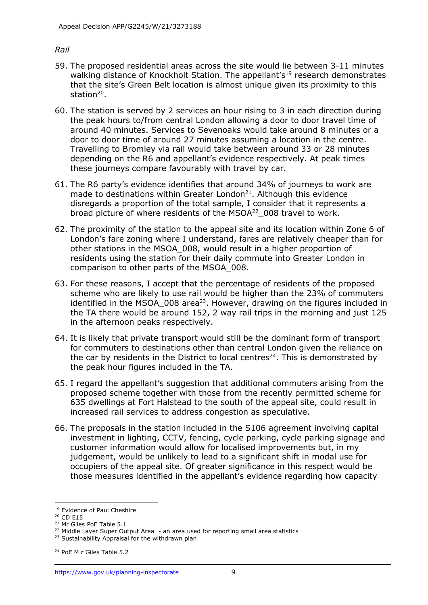#### *Rail*

- 59. The proposed residential areas across the site would lie between 3-11 minutes walking distance of Knockholt Station. The appellant's<sup>19</sup> research demonstrates that the site's Green Belt location is almost unique given its proximity to this station<sup>20</sup>.
- 60. The station is served by 2 services an hour rising to 3 in each direction during the peak hours to/from central London allowing a door to door travel time of around 40 minutes. Services to Sevenoaks would take around 8 minutes or a door to door time of around 27 minutes assuming a location in the centre. Travelling to Bromley via rail would take between around 33 or 28 minutes depending on the R6 and appellant's evidence respectively. At peak times these journeys compare favourably with travel by car.
- 61. The R6 party's evidence identifies that around 34% of journeys to work are made to destinations within Greater London $^{21}$ . Although this evidence disregards a proportion of the total sample, I consider that it represents a broad picture of where residents of the MSOA<sup>22</sup> 008 travel to work.
- 62. The proximity of the station to the appeal site and its location within Zone 6 of London's fare zoning where I understand, fares are relatively cheaper than for other stations in the MSOA\_008, would result in a higher proportion of residents using the station for their daily commute into Greater London in comparison to other parts of the MSOA\_008.
- 63. For these reasons, I accept that the percentage of residents of the proposed scheme who are likely to use rail would be higher than the 23% of commuters identified in the MSOA\_008 area<sup>23</sup>. However, drawing on the figures included in the TA there would be around 152, 2 way rail trips in the morning and just 125 in the afternoon peaks respectively.
- 64. It is likely that private transport would still be the dominant form of transport for commuters to destinations other than central London given the reliance on the car by residents in the District to local centres<sup>24</sup>. This is demonstrated by the peak hour figures included in the TA.
- 65. I regard the appellant's suggestion that additional commuters arising from the proposed scheme together with those from the recently permitted scheme for 635 dwellings at Fort Halstead to the south of the appeal site, could result in increased rail services to address congestion as speculative.
- 66. The proposals in the station included in the S106 agreement involving capital investment in lighting, CCTV, fencing, cycle parking, cycle parking signage and customer information would allow for localised improvements but, in my judgement, would be unlikely to lead to a significant shift in modal use for occupiers of the appeal site. Of greater significance in this respect would be those measures identified in the appellant's evidence regarding how capacity

<sup>&</sup>lt;sup>19</sup> Evidence of Paul Cheshire

<sup>20</sup> CD E15

<sup>21</sup> Mr Giles PoE Table 5.1

<sup>&</sup>lt;sup>22</sup> Middle Layer Super Output Area - an area used for reporting small area statistics

<sup>&</sup>lt;sup>23</sup> Sustainability Appraisal for the withdrawn plan

<sup>24</sup> PoE M r Giles Table 5.2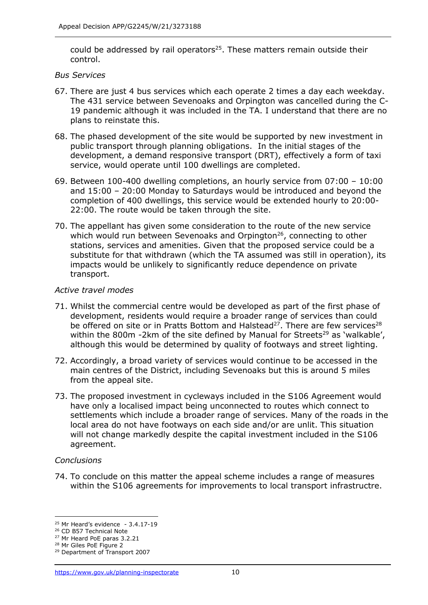could be addressed by rail operators<sup>25</sup>. These matters remain outside their control.

## *Bus Services*

- 67. There are just 4 bus services which each operate 2 times a day each weekday. The 431 service between Sevenoaks and Orpington was cancelled during the C-19 pandemic although it was included in the TA. I understand that there are no plans to reinstate this.
- 68. The phased development of the site would be supported by new investment in public transport through planning obligations. In the initial stages of the development, a demand responsive transport (DRT), effectively a form of taxi service, would operate until 100 dwellings are completed.
- 69. Between 100-400 dwelling completions, an hourly service from 07:00 10:00 and 15:00 – 20:00 Monday to Saturdays would be introduced and beyond the completion of 400 dwellings, this service would be extended hourly to 20:00- 22:00. The route would be taken through the site.
- 70. The appellant has given some consideration to the route of the new service which would run between Sevenoaks and Orpington $26$ , connecting to other stations, services and amenities. Given that the proposed service could be a substitute for that withdrawn (which the TA assumed was still in operation), its impacts would be unlikely to significantly reduce dependence on private transport.

#### *Active travel modes*

- 71. Whilst the commercial centre would be developed as part of the first phase of development, residents would require a broader range of services than could be offered on site or in Pratts Bottom and Halstead<sup>27</sup>. There are few services<sup>28</sup> within the 800m -2km of the site defined by Manual for Streets<sup>29</sup> as 'walkable', although this would be determined by quality of footways and street lighting.
- 72. Accordingly, a broad variety of services would continue to be accessed in the main centres of the District, including Sevenoaks but this is around 5 miles from the appeal site.
- 73. The proposed investment in cycleways included in the S106 Agreement would have only a localised impact being unconnected to routes which connect to settlements which include a broader range of services. Many of the roads in the local area do not have footways on each side and/or are unlit. This situation will not change markedly despite the capital investment included in the S106 agreement.

#### *Conclusions*

74. To conclude on this matter the appeal scheme includes a range of measures within the S106 agreements for improvements to local transport infrastructre.

 $25$  Mr Heard's evidence - 3.4.17-19

<sup>&</sup>lt;sup>26</sup> CD B57 Technical Note

<sup>27</sup> Mr Heard PoE paras 3.2.21

<sup>28</sup> Mr Giles PoE Figure 2

<sup>29</sup> Department of Transport 2007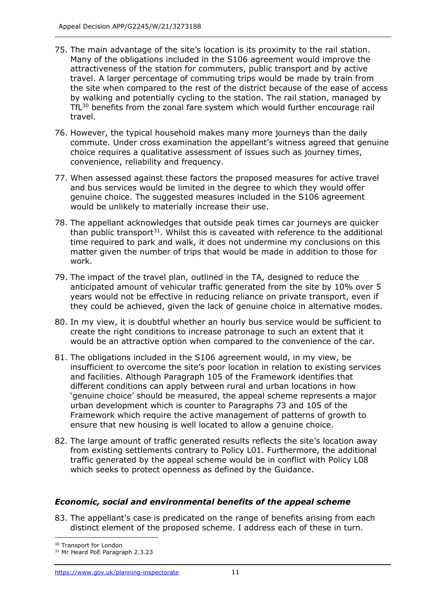- 75. The main advantage of the site's location is its proximity to the rail station. Many of the obligations included in the S106 agreement would improve the attractiveness of the station for commuters, public transport and by active travel. A larger percentage of commuting trips would be made by train from the site when compared to the rest of the district because of the ease of access by walking and potentially cycling to the station. The rail station, managed by TfL<sup>30</sup> benefits from the zonal fare system which would further encourage rail travel.
- 76. However, the typical household makes many more journeys than the daily commute. Under cross examination the appellant's witness agreed that genuine choice requires a qualitative assessment of issues such as journey times, convenience, reliability and frequency.
- 77. When assessed against these factors the proposed measures for active travel and bus services would be limited in the degree to which they would offer genuine choice. The suggested measures included in the S106 agreement would be unlikely to materially increase their use.
- 78. The appellant acknowledges that outside peak times car journeys are quicker than public transport<sup>31</sup>. Whilst this is caveated with reference to the additional time required to park and walk, it does not undermine my conclusions on this matter given the number of trips that would be made in addition to those for work.
- 79. The impact of the travel plan, outlined in the TA, designed to reduce the anticipated amount of vehicular traffic generated from the site by 10% over 5 years would not be effective in reducing reliance on private transport, even if they could be achieved, given the lack of genuine choice in alternative modes.
- 80. In my view, it is doubtful whether an hourly bus service would be sufficient to create the right conditions to increase patronage to such an extent that it would be an attractive option when compared to the convenience of the car.
- 81. The obligations included in the S106 agreement would, in my view, be insufficient to overcome the site's poor location in relation to existing services and facilities. Although Paragraph 105 of the Framework identifies that different conditions can apply between rural and urban locations in how 'genuine choice' should be measured, the appeal scheme represents a major urban development which is counter to Paragraphs 73 and 105 of the Framework which require the active management of patterns of growth to ensure that new housing is well located to allow a genuine choice.
- 82. The large amount of traffic generated results reflects the site's location away from existing settlements contrary to Policy L01. Furthermore, the additional traffic generated by the appeal scheme would be in conflict with Policy L08 which seeks to protect openness as defined by the Guidance.

# *Economic, social and environmental benefits of the appeal scheme*

83. The appellant's case is predicated on the range of benefits arising from each distinct element of the proposed scheme. I address each of these in turn.

<sup>&</sup>lt;sup>30</sup> Transport for London

<sup>&</sup>lt;sup>31</sup> Mr Heard PoE Paragraph 2.3.23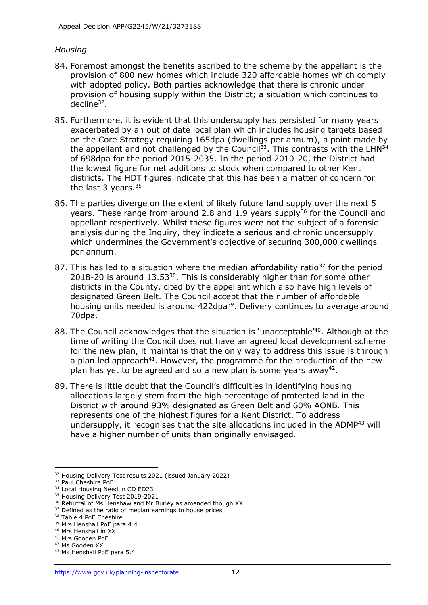## *Housing*

- 84. Foremost amongst the benefits ascribed to the scheme by the appellant is the provision of 800 new homes which include 320 affordable homes which comply with adopted policy. Both parties acknowledge that there is chronic under provision of housing supply within the District; a situation which continues to decline<sup>32</sup>.
- 85. Furthermore, it is evident that this undersupply has persisted for many years exacerbated by an out of date local plan which includes housing targets based on the Core Strategy requiring 165dpa (dwellings per annum), a point made by the appellant and not challenged by the Council<sup>33</sup>. This contrasts with the LHN<sup>34</sup> of 698dpa for the period 2015-2035. In the period 2010-20, the District had the lowest figure for net additions to stock when compared to other Kent districts. The HDT figures indicate that this has been a matter of concern for the last 3 years.<sup>35</sup>
- 86. The parties diverge on the extent of likely future land supply over the next 5 years. These range from around 2.8 and 1.9 years supply<sup>36</sup> for the Council and appellant respectively. Whilst these figures were not the subject of a forensic analysis during the Inquiry, they indicate a serious and chronic undersupply which undermines the Government's objective of securing 300,000 dwellings per annum.
- 87. This has led to a situation where the median affordability ratio<sup>37</sup> for the period 2018-20 is around 13.53<sup>38</sup>. This is considerably higher than for some other districts in the County, cited by the appellant which also have high levels of designated Green Belt. The Council accept that the number of affordable housing units needed is around 422dpa<sup>39</sup>. Delivery continues to average around 70dpa.
- 88. The Council acknowledges that the situation is 'unacceptable'<sup>40</sup>. Although at the time of writing the Council does not have an agreed local development scheme for the new plan, it maintains that the only way to address this issue is through a plan led approach<sup>41</sup>. However, the programme for the production of the new plan has yet to be agreed and so a new plan is some years away<sup>42</sup>.
- 89. There is little doubt that the Council's difficulties in identifying housing allocations largely stem from the high percentage of protected land in the District with around 93% designated as Green Belt and 60% AONB. This represents one of the highest figures for a Kent District. To address undersupply, it recognises that the site allocations included in the  $ADMP<sup>43</sup>$  will have a higher number of units than originally envisaged.

<sup>&</sup>lt;sup>32</sup> Housing Delivery Test results 2021 (issued January 2022)

<sup>&</sup>lt;sup>33</sup> Paul Cheshire PoE

<sup>&</sup>lt;sup>34</sup> Local Housing Need in CD ED23

<sup>&</sup>lt;sup>35</sup> Housing Delivery Test 2019-2021 <sup>36</sup> Rebuttal of Ms Henshaw and Mr Burley as amended though XX

<sup>&</sup>lt;sup>37</sup> Defined as the ratio of median earnings to house prices

<sup>&</sup>lt;sup>38</sup> Table 4 PoE Cheshire

<sup>39</sup> Mrs Henshall PoE para 4.4

<sup>40</sup> Mrs Henshall in XX

<sup>41</sup> Mrs Gooden PoE

<sup>42</sup> Ms Gooden XX

<sup>43</sup> Ms Henshall PoE para 5.4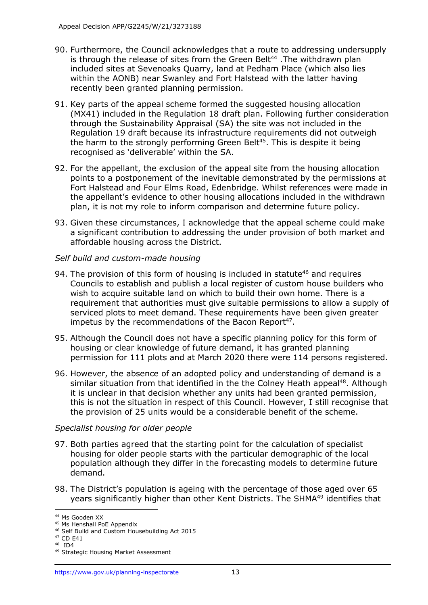- 90. Furthermore, the Council acknowledges that a route to addressing undersupply is through the release of sites from the Green Belt<sup>44</sup>. The withdrawn plan included sites at Sevenoaks Quarry, land at Pedham Place (which also lies within the AONB) near Swanley and Fort Halstead with the latter having recently been granted planning permission.
- 91. Key parts of the appeal scheme formed the suggested housing allocation (MX41) included in the Regulation 18 draft plan. Following further consideration through the Sustainability Appraisal (SA) the site was not included in the Regulation 19 draft because its infrastructure requirements did not outweigh the harm to the strongly performing Green Belt<sup>45</sup>. This is despite it being recognised as 'deliverable' within the SA.
- 92. For the appellant, the exclusion of the appeal site from the housing allocation points to a postponement of the inevitable demonstrated by the permissions at Fort Halstead and Four Elms Road, Edenbridge. Whilst references were made in the appellant's evidence to other housing allocations included in the withdrawn plan, it is not my role to inform comparison and determine future policy.
- 93. Given these circumstances, I acknowledge that the appeal scheme could make a significant contribution to addressing the under provision of both market and affordable housing across the District.

## *Self build and custom-made housing*

- 94. The provision of this form of housing is included in statute<sup>46</sup> and requires Councils to establish and publish a local register of custom house builders who wish to acquire suitable land on which to build their own home. There is a requirement that authorities must give suitable permissions to allow a supply of serviced plots to meet demand. These requirements have been given greater impetus by the recommendations of the Bacon Report<sup>47</sup>.
- 95. Although the Council does not have a specific planning policy for this form of housing or clear knowledge of future demand, it has granted planning permission for 111 plots and at March 2020 there were 114 persons registered.
- 96. However, the absence of an adopted policy and understanding of demand is a similar situation from that identified in the the Colney Heath appeal<sup>48</sup>. Although it is unclear in that decision whether any units had been granted permission, this is not the situation in respect of this Council. However, I still recognise that the provision of 25 units would be a considerable benefit of the scheme.

## *Specialist housing for older people*

- 97. Both parties agreed that the starting point for the calculation of specialist housing for older people starts with the particular demographic of the local population although they differ in the forecasting models to determine future demand.
- 98. The District's population is ageing with the percentage of those aged over 65 years significantly higher than other Kent Districts. The SHMA<sup>49</sup> identifies that

<sup>44</sup> Ms Gooden XX

<sup>45</sup> Ms Henshall PoE Appendix

<sup>46</sup> Self Build and Custom Housebuilding Act 2015

<sup>47</sup> CD E41

<sup>&</sup>lt;sup>48</sup> ID4

<sup>49</sup> Strategic Housing Market Assessment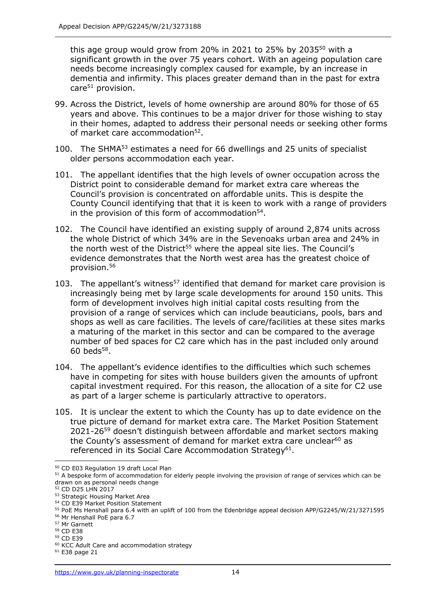this age group would grow from 20% in 2021 to 25% by 2035 $50$  with a significant growth in the over 75 years cohort. With an ageing population care needs become increasingly complex caused for example, by an increase in dementia and infirmity. This places greater demand than in the past for extra  $care<sup>51</sup>$  provision.

- 99. Across the District, levels of home ownership are around 80% for those of 65 years and above. This continues to be a major driver for those wishing to stay in their homes, adapted to address their personal needs or seeking other forms of market care accommodation<sup>52</sup>.
- 100. The SHMA<sup>53</sup> estimates a need for 66 dwellings and 25 units of specialist older persons accommodation each year.
- 101. The appellant identifies that the high levels of owner occupation across the District point to considerable demand for market extra care whereas the Council's provision is concentrated on affordable units. This is despite the County Council identifying that that it is keen to work with a range of providers in the provision of this form of accommodation $54$ .
- 102. The Council have identified an existing supply of around 2,874 units across the whole District of which 34% are in the Sevenoaks urban area and 24% in the north west of the District<sup>55</sup> where the appeal site lies. The Council's evidence demonstrates that the North west area has the greatest choice of provision.<sup>56</sup>
- 103. The appellant's witness<sup>57</sup> identified that demand for market care provision is increasingly being met by large scale developments for around 150 units. This form of development involves high initial capital costs resulting from the provision of a range of services which can include beauticians, pools, bars and shops as well as care facilities. The levels of care/facilities at these sites marks a maturing of the market in this sector and can be compared to the average number of bed spaces for C2 care which has in the past included only around  $60$  beds<sup>58</sup>.
- 104. The appellant's evidence identifies to the difficulties which such schemes have in competing for sites with house builders given the amounts of upfront capital investment required. For this reason, the allocation of a site for C2 use as part of a larger scheme is particularly attractive to operators.
- 105. It is unclear the extent to which the County has up to date evidence on the true picture of demand for market extra care. The Market Position Statement 2021-26<sup>59</sup> doesn't distinguish between affordable and market sectors making the County's assessment of demand for market extra care unclear<sup>60</sup> as referenced in its Social Care Accommodation Strategy<sup>61</sup>.

<sup>59</sup> CD E39

<sup>50</sup> CD E03 Regulation 19 draft Local Plan

<sup>&</sup>lt;sup>51</sup> A bespoke form of accommodation for elderly people involving the provision of range of services which can be drawn on as personal needs change

<sup>52</sup> CD D25 LHN 2017

<sup>53</sup> Strategic Housing Market Area

<sup>54</sup> CD E39 Market Position Statement

<sup>55</sup> PoE Ms Henshall para 6.4 with an uplift of 100 from the Edenbridge appeal decision APP/G2245/W/21/3271595

<sup>56</sup> Mr Henshall PoE para 6.7

<sup>57</sup> Mr Garnett

<sup>58</sup> CD E38

<sup>60</sup> KCC Adult Care and accommodation strategy

<sup>61</sup> E38 page 21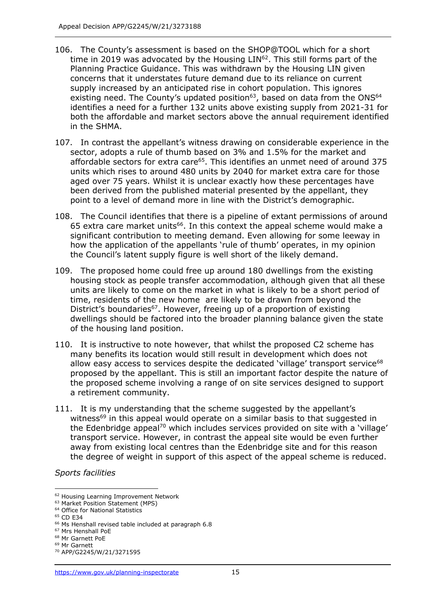- 106. The County's assessment is based on the SHOP@TOOL which for a short time in 2019 was advocated by the Housing LIN<sup>62</sup>. This still forms part of the Planning Practice Guidance. This was withdrawn by the Housing LIN given concerns that it understates future demand due to its reliance on current supply increased by an anticipated rise in cohort population. This ignores existing need. The County's updated position $63$ , based on data from the ONS $64$ identifies a need for a further 132 units above existing supply from 2021-31 for both the affordable and market sectors above the annual requirement identified in the SHMA.
- 107. In contrast the appellant's witness drawing on considerable experience in the sector, adopts a rule of thumb based on 3% and 1.5% for the market and affordable sectors for extra care<sup>65</sup>. This identifies an unmet need of around 375 units which rises to around 480 units by 2040 for market extra care for those aged over 75 years. Whilst it is unclear exactly how these percentages have been derived from the published material presented by the appellant, they point to a level of demand more in line with the District's demographic.
- 108. The Council identifies that there is a pipeline of extant permissions of around 65 extra care market units<sup>66</sup>. In this context the appeal scheme would make a significant contribution to meeting demand. Even allowing for some leeway in how the application of the appellants 'rule of thumb' operates, in my opinion the Council's latent supply figure is well short of the likely demand.
- 109. The proposed home could free up around 180 dwellings from the existing housing stock as people transfer accommodation, although given that all these units are likely to come on the market in what is likely to be a short period of time, residents of the new home are likely to be drawn from beyond the District's boundaries<sup>67</sup>. However, freeing up of a proportion of existing dwellings should be factored into the broader planning balance given the state of the housing land position.
- 110. It is instructive to note however, that whilst the proposed C2 scheme has many benefits its location would still result in development which does not allow easy access to services despite the dedicated 'village' transport service<sup>68</sup> proposed by the appellant. This is still an important factor despite the nature of the proposed scheme involving a range of on site services designed to support a retirement community.
- 111. It is my understanding that the scheme suggested by the appellant's witness<sup>69</sup> in this appeal would operate on a similar basis to that suggested in the Edenbridge appeal<sup>70</sup> which includes services provided on site with a 'village' transport service. However, in contrast the appeal site would be even further away from existing local centres than the Edenbridge site and for this reason the degree of weight in support of this aspect of the appeal scheme is reduced.

*Sports facilities*

<sup>62</sup> Housing Learning Improvement Network

<sup>63</sup> Market Position Statement (MPS)

<sup>&</sup>lt;sup>64</sup> Office for National Statistics

<sup>65</sup> CD E34

<sup>66</sup> Ms Henshall revised table included at paragraph 6.8

<sup>67</sup> Mrs Henshall PoE

<sup>68</sup> Mr Garnett PoE

<sup>69</sup> Mr Garnett

<sup>70</sup> APP/G2245/W/21/3271595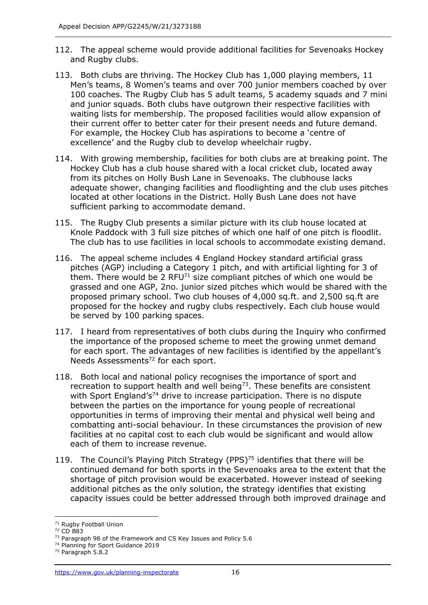- 112. The appeal scheme would provide additional facilities for Sevenoaks Hockey and Rugby clubs.
- 113. Both clubs are thriving. The Hockey Club has 1,000 playing members, 11 Men's teams, 8 Women's teams and over 700 junior members coached by over 100 coaches. The Rugby Club has 5 adult teams, 5 academy squads and 7 mini and junior squads. Both clubs have outgrown their respective facilities with waiting lists for membership. The proposed facilities would allow expansion of their current offer to better cater for their present needs and future demand. For example, the Hockey Club has aspirations to become a 'centre of excellence' and the Rugby club to develop wheelchair rugby.
- 114. With growing membership, facilities for both clubs are at breaking point. The Hockey Club has a club house shared with a local cricket club, located away from its pitches on Holly Bush Lane in Sevenoaks. The clubhouse lacks adequate shower, changing facilities and floodlighting and the club uses pitches located at other locations in the District. Holly Bush Lane does not have sufficient parking to accommodate demand.
- 115. The Rugby Club presents a similar picture with its club house located at Knole Paddock with 3 full size pitches of which one half of one pitch is floodlit. The club has to use facilities in local schools to accommodate existing demand.
- 116. The appeal scheme includes 4 England Hockey standard artificial grass pitches (AGP) including a Category 1 pitch, and with artificial lighting for 3 of them. There would be 2 RFU $^{71}$  size compliant pitches of which one would be grassed and one AGP, 2no. junior sized pitches which would be shared with the proposed primary school. Two club houses of 4,000 sq.ft. and 2,500 sq.ft are proposed for the hockey and rugby clubs respectively. Each club house would be served by 100 parking spaces.
- 117. I heard from representatives of both clubs during the Inquiry who confirmed the importance of the proposed scheme to meet the growing unmet demand for each sport. The advantages of new facilities is identified by the appellant's Needs Assessments<sup>72</sup> for each sport.
- 118. Both local and national policy recognises the importance of sport and recreation to support health and well being<sup>73</sup>. These benefits are consistent with Sport England's<sup>74</sup> drive to increase participation. There is no dispute between the parties on the importance for young people of recreational opportunities in terms of improving their mental and physical well being and combatting anti-social behaviour. In these circumstances the provision of new facilities at no capital cost to each club would be significant and would allow each of them to increase revenue.
- 119. The Council's Playing Pitch Strategy (PPS) $75$  identifies that there will be continued demand for both sports in the Sevenoaks area to the extent that the shortage of pitch provision would be exacerbated. However instead of seeking additional pitches as the only solution, the strategy identifies that existing capacity issues could be better addressed through both improved drainage and

<sup>&</sup>lt;sup>71</sup> Rugby Football Union

<sup>72</sup> CD B83

<sup>&</sup>lt;sup>73</sup> Paragraph 98 of the Framework and CS Key Issues and Policy 5.6

<sup>74</sup> Planning for Sport Guidance 2019

<sup>75</sup> Paragraph 5.8.2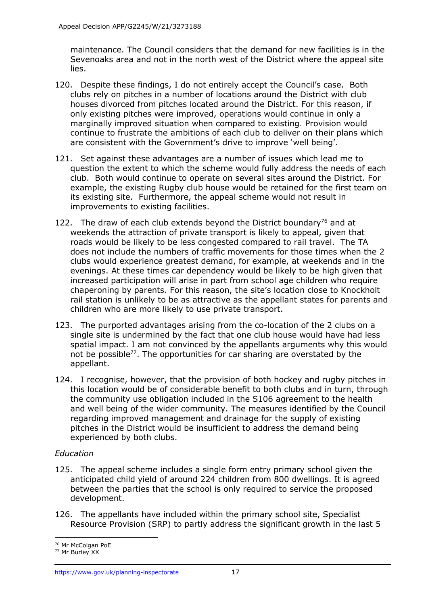maintenance. The Council considers that the demand for new facilities is in the Sevenoaks area and not in the north west of the District where the appeal site lies.

- 120. Despite these findings, I do not entirely accept the Council's case. Both clubs rely on pitches in a number of locations around the District with club houses divorced from pitches located around the District. For this reason, if only existing pitches were improved, operations would continue in only a marginally improved situation when compared to existing. Provision would continue to frustrate the ambitions of each club to deliver on their plans which are consistent with the Government's drive to improve 'well being'.
- 121. Set against these advantages are a number of issues which lead me to question the extent to which the scheme would fully address the needs of each club. Both would continue to operate on several sites around the District. For example, the existing Rugby club house would be retained for the first team on its existing site. Furthermore, the appeal scheme would not result in improvements to existing facilities.
- 122. The draw of each club extends beyond the District boundary<sup>76</sup> and at weekends the attraction of private transport is likely to appeal, given that roads would be likely to be less congested compared to rail travel. The TA does not include the numbers of traffic movements for those times when the 2 clubs would experience greatest demand, for example, at weekends and in the evenings. At these times car dependency would be likely to be high given that increased participation will arise in part from school age children who require chaperoning by parents. For this reason, the site's location close to Knockholt rail station is unlikely to be as attractive as the appellant states for parents and children who are more likely to use private transport.
- 123. The purported advantages arising from the co-location of the 2 clubs on a single site is undermined by the fact that one club house would have had less spatial impact. I am not convinced by the appellants arguments why this would not be possible<sup>77</sup>. The opportunities for car sharing are overstated by the appellant.
- 124. I recognise, however, that the provision of both hockey and rugby pitches in this location would be of considerable benefit to both clubs and in turn, through the community use obligation included in the S106 agreement to the health and well being of the wider community. The measures identified by the Council regarding improved management and drainage for the supply of existing pitches in the District would be insufficient to address the demand being experienced by both clubs.

## *Education*

- 125. The appeal scheme includes a single form entry primary school given the anticipated child yield of around 224 children from 800 dwellings. It is agreed between the parties that the school is only required to service the proposed development.
- 126. The appellants have included within the primary school site, Specialist Resource Provision (SRP) to partly address the significant growth in the last 5

<sup>76</sup> Mr McColgan PoE

<sup>77</sup> Mr Burley XX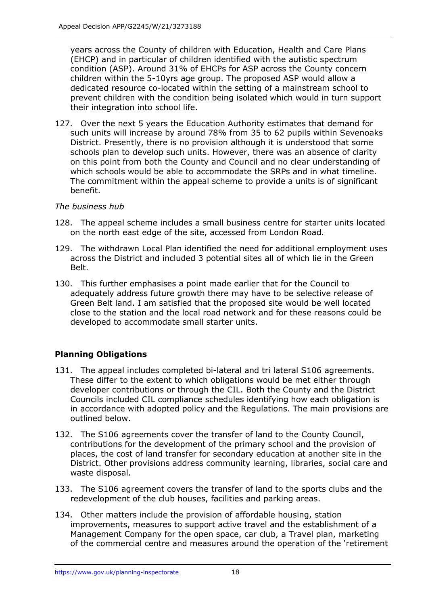years across the County of children with Education, Health and Care Plans (EHCP) and in particular of children identified with the autistic spectrum condition (ASP). Around 31% of EHCPs for ASP across the County concern children within the 5-10yrs age group. The proposed ASP would allow a dedicated resource co-located within the setting of a mainstream school to prevent children with the condition being isolated which would in turn support their integration into school life.

127. Over the next 5 years the Education Authority estimates that demand for such units will increase by around 78% from 35 to 62 pupils within Sevenoaks District. Presently, there is no provision although it is understood that some schools plan to develop such units. However, there was an absence of clarity on this point from both the County and Council and no clear understanding of which schools would be able to accommodate the SRPs and in what timeline. The commitment within the appeal scheme to provide a units is of significant benefit.

## *The business hub*

- 128. The appeal scheme includes a small business centre for starter units located on the north east edge of the site, accessed from London Road.
- 129. The withdrawn Local Plan identified the need for additional employment uses across the District and included 3 potential sites all of which lie in the Green Belt.
- 130. This further emphasises a point made earlier that for the Council to adequately address future growth there may have to be selective release of Green Belt land. I am satisfied that the proposed site would be well located close to the station and the local road network and for these reasons could be developed to accommodate small starter units.

# **Planning Obligations**

- 131. The appeal includes completed bi-lateral and tri lateral S106 agreements. These differ to the extent to which obligations would be met either through developer contributions or through the CIL. Both the County and the District Councils included CIL compliance schedules identifying how each obligation is in accordance with adopted policy and the Regulations. The main provisions are outlined below.
- 132. The S106 agreements cover the transfer of land to the County Council, contributions for the development of the primary school and the provision of places, the cost of land transfer for secondary education at another site in the District. Other provisions address community learning, libraries, social care and waste disposal.
- 133. The S106 agreement covers the transfer of land to the sports clubs and the redevelopment of the club houses, facilities and parking areas.
- 134. Other matters include the provision of affordable housing, station improvements, measures to support active travel and the establishment of a Management Company for the open space, car club, a Travel plan, marketing of the commercial centre and measures around the operation of the 'retirement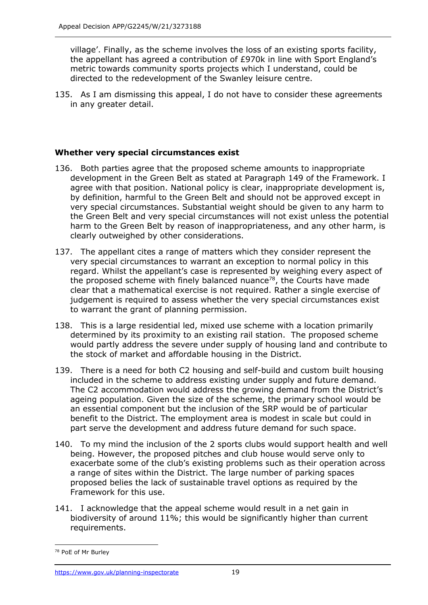village'. Finally, as the scheme involves the loss of an existing sports facility, the appellant has agreed a contribution of £970k in line with Sport England's metric towards community sports projects which I understand, could be directed to the redevelopment of the Swanley leisure centre.

135. As I am dismissing this appeal, I do not have to consider these agreements in any greater detail.

## **Whether very special circumstances exist**

- 136. Both parties agree that the proposed scheme amounts to inappropriate development in the Green Belt as stated at Paragraph 149 of the Framework. I agree with that position. National policy is clear, inappropriate development is, by definition, harmful to the Green Belt and should not be approved except in very special circumstances. Substantial weight should be given to any harm to the Green Belt and very special circumstances will not exist unless the potential harm to the Green Belt by reason of inappropriateness, and any other harm, is clearly outweighed by other considerations.
- 137. The appellant cites a range of matters which they consider represent the very special circumstances to warrant an exception to normal policy in this regard. Whilst the appellant's case is represented by weighing every aspect of the proposed scheme with finely balanced nuance<sup>78</sup>, the Courts have made clear that a mathematical exercise is not required. Rather a single exercise of judgement is required to assess whether the very special circumstances exist to warrant the grant of planning permission.
- 138. This is a large residential led, mixed use scheme with a location primarily determined by its proximity to an existing rail station. The proposed scheme would partly address the severe under supply of housing land and contribute to the stock of market and affordable housing in the District.
- 139. There is a need for both C2 housing and self-build and custom built housing included in the scheme to address existing under supply and future demand. The C2 accommodation would address the growing demand from the District's ageing population. Given the size of the scheme, the primary school would be an essential component but the inclusion of the SRP would be of particular benefit to the District. The employment area is modest in scale but could in part serve the development and address future demand for such space.
- 140. To my mind the inclusion of the 2 sports clubs would support health and well being. However, the proposed pitches and club house would serve only to exacerbate some of the club's existing problems such as their operation across a range of sites within the District. The large number of parking spaces proposed belies the lack of sustainable travel options as required by the Framework for this use.
- 141. I acknowledge that the appeal scheme would result in a net gain in biodiversity of around 11%; this would be significantly higher than current requirements.

<sup>78</sup> PoE of Mr Burley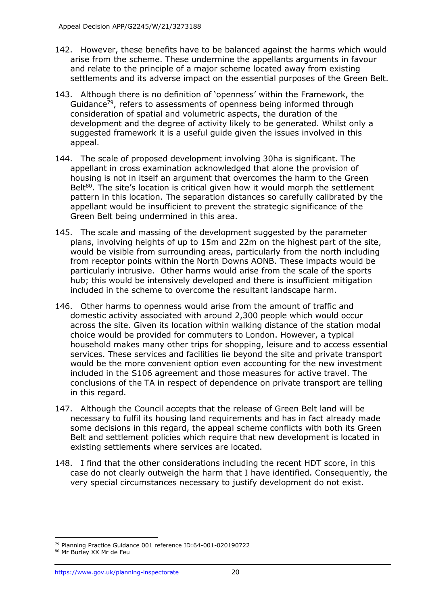- 142. However, these benefits have to be balanced against the harms which would arise from the scheme. These undermine the appellants arguments in favour and relate to the principle of a major scheme located away from existing settlements and its adverse impact on the essential purposes of the Green Belt.
- 143. Although there is no definition of 'openness' within the Framework, the Guidance<sup>79</sup>, refers to assessments of openness being informed through consideration of spatial and volumetric aspects, the duration of the development and the degree of activity likely to be generated. Whilst only a suggested framework it is a useful guide given the issues involved in this appeal.
- 144. The scale of proposed development involving 30ha is significant. The appellant in cross examination acknowledged that alone the provision of housing is not in itself an argument that overcomes the harm to the Green Belt $80$ . The site's location is critical given how it would morph the settlement pattern in this location. The separation distances so carefully calibrated by the appellant would be insufficient to prevent the strategic significance of the Green Belt being undermined in this area.
- 145. The scale and massing of the development suggested by the parameter plans, involving heights of up to 15m and 22m on the highest part of the site, would be visible from surrounding areas, particularly from the north including from receptor points within the North Downs AONB. These impacts would be particularly intrusive. Other harms would arise from the scale of the sports hub; this would be intensively developed and there is insufficient mitigation included in the scheme to overcome the resultant landscape harm.
- 146. Other harms to openness would arise from the amount of traffic and domestic activity associated with around 2,300 people which would occur across the site. Given its location within walking distance of the station modal choice would be provided for commuters to London. However, a typical household makes many other trips for shopping, leisure and to access essential services. These services and facilities lie beyond the site and private transport would be the more convenient option even accounting for the new investment included in the S106 agreement and those measures for active travel. The conclusions of the TA in respect of dependence on private transport are telling in this regard.
- 147. Although the Council accepts that the release of Green Belt land will be necessary to fulfil its housing land requirements and has in fact already made some decisions in this regard, the appeal scheme conflicts with both its Green Belt and settlement policies which require that new development is located in existing settlements where services are located.
- 148. I find that the other considerations including the recent HDT score, in this case do not clearly outweigh the harm that I have identified. Consequently, the very special circumstances necessary to justify development do not exist.

<sup>79</sup> Planning Practice Guidance 001 reference ID:64-001-020190722

<sup>80</sup> Mr Burley XX Mr de Feu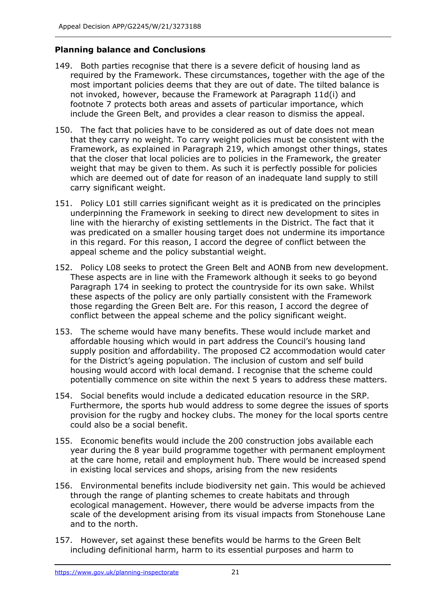# **Planning balance and Conclusions**

- 149. Both parties recognise that there is a severe deficit of housing land as required by the Framework. These circumstances, together with the age of the most important policies deems that they are out of date. The tilted balance is not invoked, however, because the Framework at Paragraph 11d(i) and footnote 7 protects both areas and assets of particular importance, which include the Green Belt, and provides a clear reason to dismiss the appeal.
- 150. The fact that policies have to be considered as out of date does not mean that they carry no weight. To carry weight policies must be consistent with the Framework, as explained in Paragraph 219, which amongst other things, states that the closer that local policies are to policies in the Framework, the greater weight that may be given to them. As such it is perfectly possible for policies which are deemed out of date for reason of an inadequate land supply to still carry significant weight.
- 151. Policy L01 still carries significant weight as it is predicated on the principles underpinning the Framework in seeking to direct new development to sites in line with the hierarchy of existing settlements in the District. The fact that it was predicated on a smaller housing target does not undermine its importance in this regard. For this reason, I accord the degree of conflict between the appeal scheme and the policy substantial weight.
- 152. Policy L08 seeks to protect the Green Belt and AONB from new development. These aspects are in line with the Framework although it seeks to go beyond Paragraph 174 in seeking to protect the countryside for its own sake. Whilst these aspects of the policy are only partially consistent with the Framework those regarding the Green Belt are. For this reason, I accord the degree of conflict between the appeal scheme and the policy significant weight.
- 153. The scheme would have many benefits. These would include market and affordable housing which would in part address the Council's housing land supply position and affordability. The proposed C2 accommodation would cater for the District's ageing population. The inclusion of custom and self build housing would accord with local demand. I recognise that the scheme could potentially commence on site within the next 5 years to address these matters.
- 154. Social benefits would include a dedicated education resource in the SRP. Furthermore, the sports hub would address to some degree the issues of sports provision for the rugby and hockey clubs. The money for the local sports centre could also be a social benefit.
- 155. Economic benefits would include the 200 construction jobs available each year during the 8 year build programme together with permanent employment at the care home, retail and employment hub. There would be increased spend in existing local services and shops, arising from the new residents
- 156. Environmental benefits include biodiversity net gain. This would be achieved through the range of planting schemes to create habitats and through ecological management. However, there would be adverse impacts from the scale of the development arising from its visual impacts from Stonehouse Lane and to the north.
- 157. However, set against these benefits would be harms to the Green Belt including definitional harm, harm to its essential purposes and harm to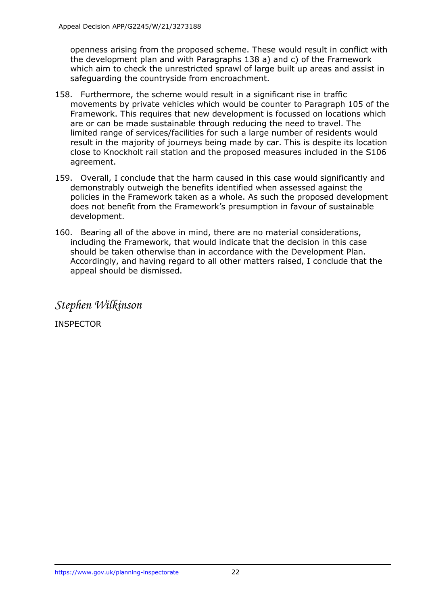openness arising from the proposed scheme. These would result in conflict with the development plan and with Paragraphs 138 a) and c) of the Framework which aim to check the unrestricted sprawl of large built up areas and assist in safeguarding the countryside from encroachment.

- 158. Furthermore, the scheme would result in a significant rise in traffic movements by private vehicles which would be counter to Paragraph 105 of the Framework. This requires that new development is focussed on locations which are or can be made sustainable through reducing the need to travel. The limited range of services/facilities for such a large number of residents would result in the majority of journeys being made by car. This is despite its location close to Knockholt rail station and the proposed measures included in the S106 agreement.
- 159. Overall, I conclude that the harm caused in this case would significantly and demonstrably outweigh the benefits identified when assessed against the policies in the Framework taken as a whole. As such the proposed development does not benefit from the Framework's presumption in favour of sustainable development.
- 160. Bearing all of the above in mind, there are no material considerations, including the Framework, that would indicate that the decision in this case should be taken otherwise than in accordance with the Development Plan. Accordingly, and having regard to all other matters raised, I conclude that the appeal should be dismissed.

*Stephen Wilkinson*

INSPECTOR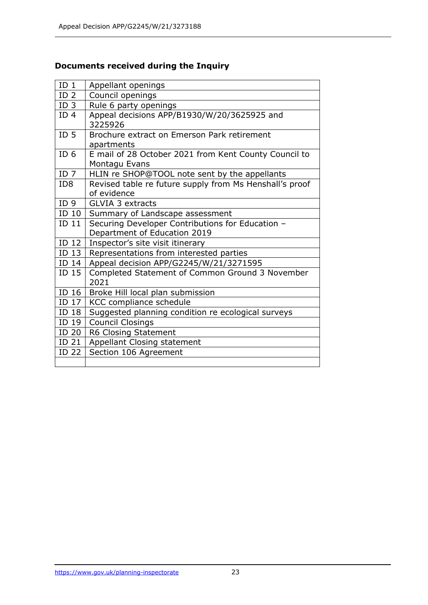# **Documents received during the Inquiry**

| ID <sub>1</sub>  | Appellant openings                                                     |
|------------------|------------------------------------------------------------------------|
| ID <sub>2</sub>  | Council openings                                                       |
| ID <sub>3</sub>  | Rule 6 party openings                                                  |
| ID <sub>4</sub>  | Appeal decisions APP/B1930/W/20/3625925 and<br>3225926                 |
| ID <sub>5</sub>  | Brochure extract on Emerson Park retirement<br>apartments              |
| ID <sub>6</sub>  | E mail of 28 October 2021 from Kent County Council to<br>Montagu Evans |
| ID <sub>7</sub>  | HLIN re SHOP@TOOL note sent by the appellants                          |
| ID <sub>8</sub>  | Revised table re future supply from Ms Henshall's proof                |
|                  | of evidence                                                            |
| ID <sub>9</sub>  | <b>GLVIA 3 extracts</b>                                                |
| $ID$ 10          | Summary of Landscape assessment                                        |
| ID <sub>11</sub> | Securing Developer Contributions for Education -                       |
|                  | Department of Education 2019                                           |
| ID <sub>12</sub> | Inspector's site visit itinerary                                       |
| $ID$ 13          | Representations from interested parties                                |
| ID 14            | Appeal decision APP/G2245/W/21/3271595                                 |
| ID 15            | Completed Statement of Common Ground 3 November<br>2021                |
| $ID$ 16          | Broke Hill local plan submission                                       |
| ID 17            | KCC compliance schedule                                                |
| ID 18            | Suggested planning condition re ecological surveys                     |
| ID 19            | <b>Council Closings</b>                                                |
| ID 20            | R6 Closing Statement                                                   |
| $ID$ 21 $\vert$  | Appellant Closing statement                                            |
| ID 22            | Section 106 Agreement                                                  |
|                  |                                                                        |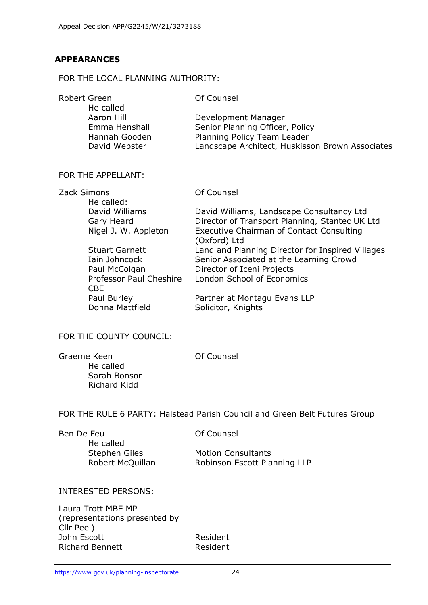## **APPEARANCES**

#### FOR THE LOCAL PLANNING AUTHORITY:

| Of Counsel                                      |
|-------------------------------------------------|
|                                                 |
| Development Manager                             |
| Senior Planning Officer, Policy                 |
| Planning Policy Team Leader                     |
| Landscape Architect, Huskisson Brown Associates |
|                                                 |

#### FOR THE APPELLANT:

| Zack Simons                           | Of Counsel                                                      |
|---------------------------------------|-----------------------------------------------------------------|
| He called:                            |                                                                 |
| David Williams                        | David Williams, Landscape Consultancy Ltd                       |
| Gary Heard                            | Director of Transport Planning, Stantec UK Ltd                  |
| Nigel J. W. Appleton                  | <b>Executive Chairman of Contact Consulting</b><br>(Oxford) Ltd |
| <b>Stuart Garnett</b>                 | Land and Planning Director for Inspired Villages                |
| Iain Johncock                         | Senior Associated at the Learning Crowd                         |
| Paul McColgan                         | Director of Iceni Projects                                      |
| Professor Paul Cheshire<br><b>CBE</b> | London School of Economics                                      |
| Paul Burley                           | Partner at Montagu Evans LLP                                    |
| Donna Mattfield                       | Solicitor, Knights                                              |

#### FOR THE COUNTY COUNCIL:

| Graeme Keen  | Of Counsel |
|--------------|------------|
| He called    |            |
| Sarah Bonsor |            |
| Richard Kidd |            |

FOR THE RULE 6 PARTY: Halstead Parish Council and Green Belt Futures Group

| Of Counsel         |
|--------------------|
|                    |
| <b>Motion Cons</b> |
| Robinson Es        |
|                    |

**Motion Consultants** Robinson Escott Planning LLP

#### INTERESTED PERSONS:

Laura Trott MBE MP (representations presented by Cllr Peel) John Escott **Resident** Richard Bennett Resident